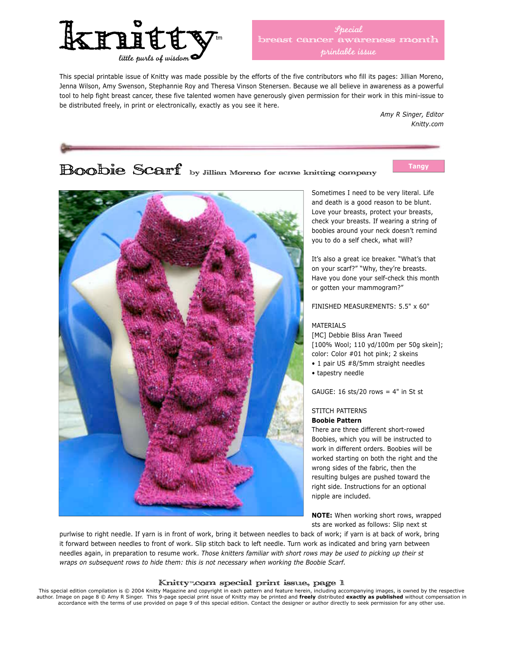

This special printable issue of Knitty was made possible by the efforts of the five contributors who fill its pages: Jillian Moreno, Jenna Wilson, Amy Swenson, Stephannie Roy and Theresa Vinson Stenersen. Because we all believe in awareness as a powerful tool to help fight breast cancer, these five talented women have generously given permission for their work in this mini-issue to be distributed freely, in print or electronically, exactly as you see it here.

> *Amy R Singer, Editor Knitty.com*

# **Boobie Scarf** by Jillian Moreno for acme knitting company

**Tangy**



Sometimes I need to be very literal. Life and death is a good reason to be blunt. Love your breasts, protect your breasts, check your breasts. If wearing a string of boobies around your neck doesn't remind you to do a self check, what will?

It's also a great ice breaker. "What's that on your scarf?" "Why, they're breasts. Have you done your self-check this month or gotten your mammogram?"

FINISHED MEASUREMENTS: 5.5" x 60"

#### MATERIALS

[MC] Debbie Bliss Aran Tweed [100% Wool; 110 yd/100m per 50g skein]; color: Color #01 hot pink; 2 skeins • 1 pair US #8/5mm straight needles • tapestry needle

GAUGE: 16 sts/20 rows  $=$  4" in St st

### STITCH PATTERNS **Boobie Pattern**

There are three different short-rowed Boobies, which you will be instructed to work in different orders. Boobies will be worked starting on both the right and the wrong sides of the fabric, then the resulting bulges are pushed toward the right side. Instructions for an optional nipple are included.

**NOTE:** When working short rows, wrapped sts are worked as follows: Slip next st

purlwise to right needle. If yarn is in front of work, bring it between needles to back of work; if yarn is at back of work, bring it forward between needles to front of work. Slip stitch back to left needle. Turn work as indicated and bring yarn between needles again, in preparation to resume work. *Those knitters familiar with short rows may be used to picking up their st wraps on subsequent rows to hide them: this is not necessary when working the Boobie Scarf.*

#### Knitty™.com special print issue, page 1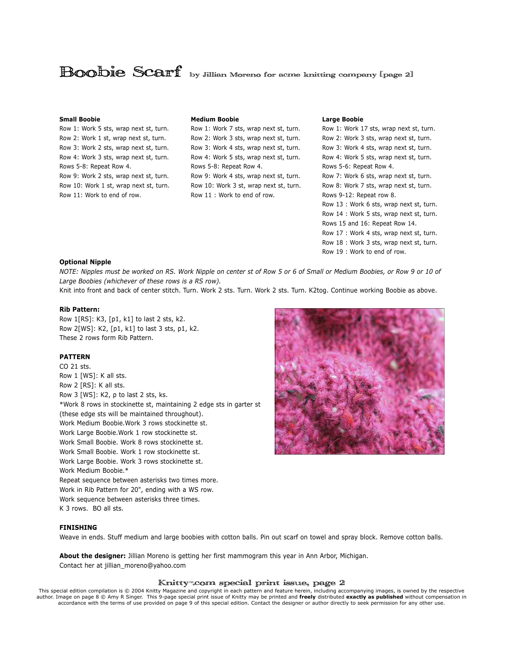### **Boobie Scarf** by Jillian Moreno for acme knitting company [page 2]

#### **Small Boobie**

Row 1: Work 5 sts, wrap next st, turn. Row 2: Work 1 st, wrap next st, turn. Row 3: Work 2 sts, wrap next st, turn. Row 4: Work 3 sts, wrap next st, turn. Rows 5-8: Repeat Row 4. Row 9: Work 2 sts, wrap next st, turn. Row 10: Work 1 st, wrap next st, turn. Row 11: Work to end of row.

#### **Medium Boobie**

Row 1: Work 7 sts, wrap next st, turn. Row 2: Work 3 sts, wrap next st, turn. Row 3: Work 4 sts, wrap next st, turn. Row 4: Work 5 sts, wrap next st, turn. Rows 5-8: Repeat Row 4. Row 9: Work 4 sts, wrap next st, turn. Row 10: Work 3 st, wrap next st, turn. Row 11 : Work to end of row.

#### **Large Boobie**

Row 1: Work 17 sts, wrap next st, turn. Row 2: Work 3 sts, wrap next st, turn. Row 3: Work 4 sts, wrap next st, turn. Row 4: Work 5 sts, wrap next st, turn. Rows 5-6: Repeat Row 4. Row 7: Work 6 sts, wrap next st, turn. Row 8: Work 7 sts, wrap next st, turn. Rows 9-12: Repeat row 8. Row 13 : Work 6 sts, wrap next st, turn. Row 14 : Work 5 sts, wrap next st, turn. Rows 15 and 16: Repeat Row 14. Row 17 : Work 4 sts, wrap next st, turn. Row 18 : Work 3 sts, wrap next st, turn. Row 19 : Work to end of row.

#### **Optional Nipple**

*NOTE: Nipples must be worked on RS. Work Nipple on center st of Row 5 or 6 of Small or Medium Boobies, or Row 9 or 10 of Large Boobies (whichever of these rows is a RS row).*

Knit into front and back of center stitch. Turn. Work 2 sts. Turn. Work 2 sts. Turn. K2tog. Continue working Boobie as above.

#### **Rib Pattern:**

Row 1[RS]: K3, [p1, k1] to last 2 sts, k2. Row 2[WS]: K2, [p1, k1] to last 3 sts, p1, k2. These 2 rows form Rib Pattern.

#### **PATTERN**

CO 21 sts. Row 1 [WS]: K all sts. Row 2 [RS]: K all sts. Row 3 [WS]: K2, p to last 2 sts, ks. \*Work 8 rows in stockinette st, maintaining 2 edge sts in garter st (these edge sts will be maintained throughout). Work Medium Boobie.Work 3 rows stockinette st. Work Large Boobie.Work 1 row stockinette st. Work Small Boobie. Work 8 rows stockinette st. Work Small Boobie. Work 1 row stockinette st. Work Large Boobie. Work 3 rows stockinette st. Work Medium Boobie.\* Repeat sequence between asterisks two times more. Work in Rib Pattern for 20", ending with a WS row. Work sequence between asterisks three times. K 3 rows. BO all sts.



#### **FINISHING**

Weave in ends. Stuff medium and large boobies with cotton balls. Pin out scarf on towel and spray block. Remove cotton balls.

**About the designer:** Jillian Moreno is getting her first mammogram this year in Ann Arbor, Michigan. Contact her at jillian\_moreno@yahoo.com

#### Knitty™.com special print issue, page 2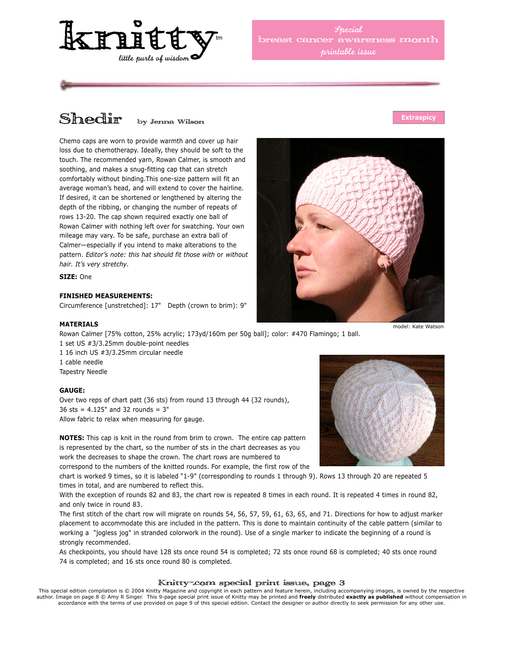

*Special* cancer awareness month *printable issue*

# Shedir by Jenna Wilson

Chemo caps are worn to provide warmth and cover up hair loss due to chemotherapy. Ideally, they should be soft to the touch. The recommended yarn, Rowan Calmer, is smooth and soothing, and makes a snug-fitting cap that can stretch comfortably without binding.This one-size pattern will fit an average woman's head, and will extend to cover the hairline. If desired, it can be shortened or lengthened by altering the depth of the ribbing, or changing the number of repeats of rows 13-20. The cap shown required exactly one ball of Rowan Calmer with nothing left over for swatching. Your own mileage may vary. To be safe, purchase an extra ball of Calmer—especially if you intend to make alterations to the pattern. *Editor's note: this hat should fit those with* or *without hair. It's very stretchy.*

**SIZE:** One

#### **FINISHED MEASUREMENTS:**

Circumference [unstretched]: 17" Depth (crown to brim): 9"

#### **MATERIALS**

Rowan Calmer [75% cotton, 25% acrylic; 173yd/160m per 50g ball]; color: #470 Flamingo; 1 ball. 1 set US #3/3.25mm double-point needles 1 16 inch US #3/3.25mm circular needle 1 cable needle Tapestry Needle

#### **GAUGE:**

Over two reps of chart patt (36 sts) from round 13 through 44 (32 rounds), 36 sts = 4.125" and 32 rounds = 3" Allow fabric to relax when measuring for gauge.

**NOTES:** This cap is knit in the round from brim to crown. The entire cap pattern is represented by the chart, so the number of sts in the chart decreases as you work the decreases to shape the crown. The chart rows are numbered to correspond to the numbers of the knitted rounds. For example, the first row of the

chart is worked 9 times, so it is labeled "1-9" (corresponding to rounds 1 through 9). Rows 13 through 20 are repeated 5 times in total, and are numbered to reflect this.

With the exception of rounds 82 and 83, the chart row is repeated 8 times in each round. It is repeated 4 times in round 82, and only twice in round 83.

The first stitch of the chart row will migrate on rounds 54, 56, 57, 59, 61, 63, 65, and 71. Directions for how to adjust marker placement to accommodate this are included in the pattern. This is done to maintain continuity of the cable pattern (similar to working a "jogless jog" in stranded colorwork in the round). Use of a single marker to indicate the beginning of a round is strongly recommended.

As checkpoints, you should have 128 sts once round 54 is completed; 72 sts once round 68 is completed; 40 sts once round 74 is completed; and 16 sts once round 80 is completed.

#### Knitty™.com special print issue, page 3

This special edition compilation is © 2004 Knitty Magazine and copyright in each pattern and feature herein, including accompanying images, is owned by the respective<br>author. Image on page 8 © Amy R Singer. This 9-page spe accordance with the terms of use provided on page 9 of this special edition. Contact the designer or author directly to seek permission for any other use.





**Extraspicy**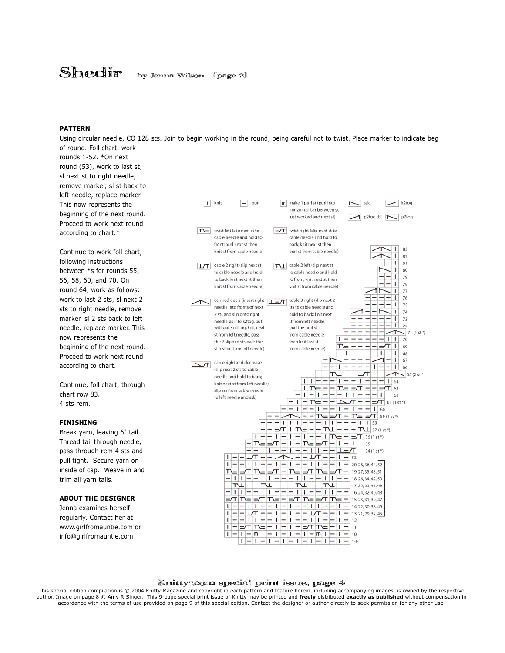## Shedir by Jenna Wilson [page 2]

#### **PATTERN**

Using circular needle, CO 128 sts. Join to begin working in the round, being careful not to twist. Place marker to indicate beg of round. Foll chart, work

rounds 1-52. \*On next round (53), work to last st, sl next st to right needle, remove marker, sl st back to left needle, replace marker. This now represents the beginning of the next round. Proceed to work next round according to chart.\*

Continue to work foll chart, following instructions between \*s for rounds 55, 56, 58, 60, and 70. On round 64, work as follows: work to last 2 sts, sl next 2 sts to right needle, remove marker, sl 2 sts back to left needle, replace marker. This now represents the beginning of the next round. Proceed to work next round according to chart.

Continue, foll chart, through chart row 83. 4 sts rem.

#### **FINISHING**

Break yarn, leaving 6" tail. Thread tail through needle, pass through rem 4 sts and pull tight. Secure yarn on inside of cap. Weave in and trim all yarn tails.

#### **ABOUT THE DESIGNER**

Jenna examines herself regularly. Contact her at www.girlfromauntie.com or info@girlfromauntie.com



#### Knitty™.com special print issue, page 4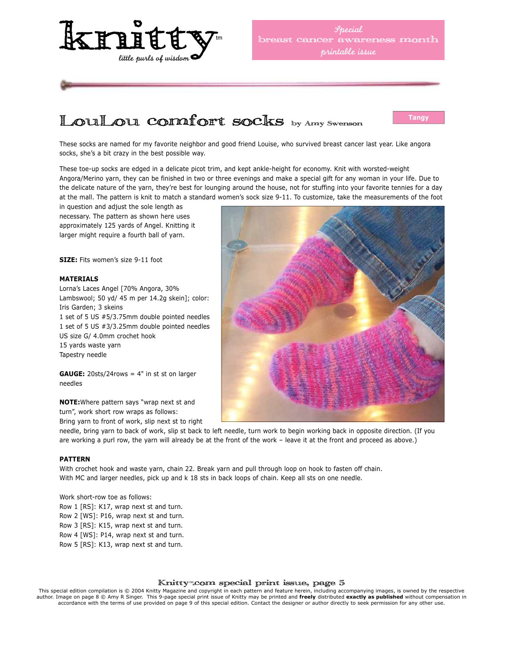

## LOULOU COMIOT SOCKS by Amy Swenson

**Tangy**

These socks are named for my favorite neighbor and good friend Louise, who survived breast cancer last year. Like angora socks, she's a bit crazy in the best possible way.

These toe-up socks are edged in a delicate picot trim, and kept ankle-height for economy. Knit with worsted-weight Angora/Merino yarn, they can be finished in two or three evenings and make a special gift for any woman in your life. Due to the delicate nature of the yarn, they're best for lounging around the house, not for stuffing into your favorite tennies for a day at the mall. The pattern is knit to match a standard women's sock size 9-11. To customize, take the measurements of the foot

in question and adjust the sole length as necessary. The pattern as shown here uses approximately 125 yards of Angel. Knitting it larger might require a fourth ball of yarn.

**SIZE:** Fits women's size 9-11 foot

#### **MATERIALS**

Lorna's Laces Angel [70% Angora, 30% Lambswool; 50 yd/ 45 m per 14.2g skein]; color: Iris Garden; 3 skeins 1 set of 5 US #5/3.75mm double pointed needles 1 set of 5 US #3/3.25mm double pointed needles US size G/ 4.0mm crochet hook 15 yards waste yarn Tapestry needle

**GAUGE:** 20sts/24rows = 4" in st st on larger needles

**NOTE:**Where pattern says "wrap next st and turn", work short row wraps as follows:

Bring yarn to front of work, slip next st to right



needle, bring yarn to back of work, slip st back to left needle, turn work to begin working back in opposite direction. (If you are working a purl row, the yarn will already be at the front of the work – leave it at the front and proceed as above.)

#### **PATTERN**

With crochet hook and waste yarn, chain 22. Break yarn and pull through loop on hook to fasten off chain. With MC and larger needles, pick up and k 18 sts in back loops of chain. Keep all sts on one needle.

Work short-row toe as follows: Row 1 [RS]: K17, wrap next st and turn. Row 2 [WS]: P16, wrap next st and turn. Row 3 [RS]: K15, wrap next st and turn. Row 4 [WS]: P14, wrap next st and turn. Row 5 [RS]: K13, wrap next st and turn.

#### Knitty™.com special print issue, page 5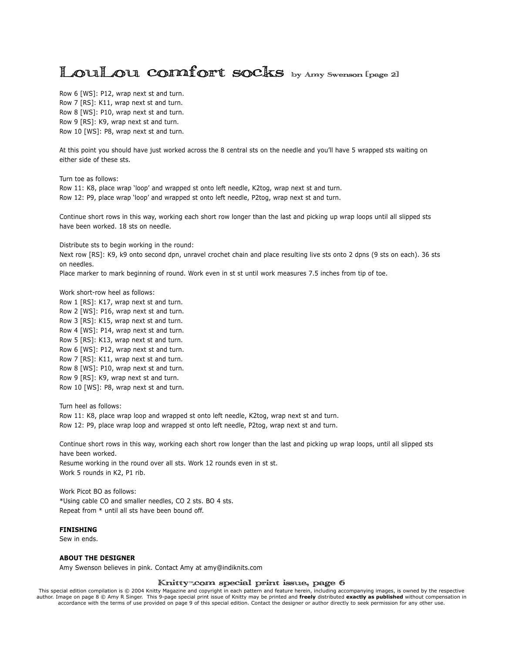### LOULOU COMIOTT SOCKS by Amy Swenson [page 2]

Row 6 [WS]: P12, wrap next st and turn. Row 7 [RS]: K11, wrap next st and turn. Row 8 [WS]: P10, wrap next st and turn. Row 9 [RS]: K9, wrap next st and turn. Row 10 [WS]: P8, wrap next st and turn.

At this point you should have just worked across the 8 central sts on the needle and you'll have 5 wrapped sts waiting on either side of these sts.

Turn toe as follows: Row 11: K8, place wrap 'loop' and wrapped st onto left needle, K2tog, wrap next st and turn. Row 12: P9, place wrap 'loop' and wrapped st onto left needle, P2tog, wrap next st and turn.

Continue short rows in this way, working each short row longer than the last and picking up wrap loops until all slipped sts have been worked. 18 sts on needle.

Distribute sts to begin working in the round:

Next row [RS]: K9, k9 onto second dpn, unravel crochet chain and place resulting live sts onto 2 dpns (9 sts on each). 36 sts on needles.

Place marker to mark beginning of round. Work even in st st until work measures 7.5 inches from tip of toe.

Work short-row heel as follows:

Row 1 [RS]: K17, wrap next st and turn. Row 2 [WS]: P16, wrap next st and turn. Row 3 [RS]: K15, wrap next st and turn. Row 4 [WS]: P14, wrap next st and turn. Row 5 [RS]: K13, wrap next st and turn. Row 6 [WS]: P12, wrap next st and turn. Row 7 [RS]: K11, wrap next st and turn. Row 8 [WS]: P10, wrap next st and turn. Row 9 [RS]: K9, wrap next st and turn. Row 10 [WS]: P8, wrap next st and turn.

Turn heel as follows: Row 11: K8, place wrap loop and wrapped st onto left needle, K2tog, wrap next st and turn. Row 12: P9, place wrap loop and wrapped st onto left needle, P2tog, wrap next st and turn.

Continue short rows in this way, working each short row longer than the last and picking up wrap loops, until all slipped sts have been worked. Resume working in the round over all sts. Work 12 rounds even in st st. Work 5 rounds in K2, P1 rib.

Work Picot BO as follows: \*Using cable CO and smaller needles, CO 2 sts. BO 4 sts. Repeat from \* until all sts have been bound off.

#### **FINISHING**

Sew in ends.

#### **ABOUT THE DESIGNER**

Amy Swenson believes in pink. Contact Amy at amy@indiknits.com

#### Knitty™.com special print issue, page 6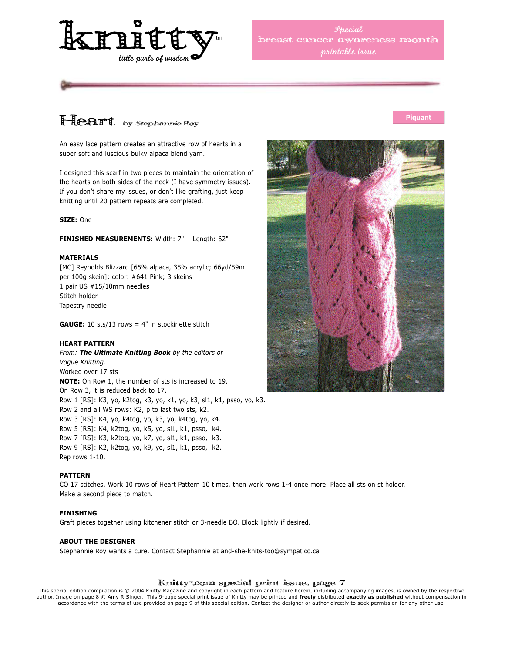

*Special* cancer awareness month *printable issue*

## Heart by Stephannie Roy

An easy lace pattern creates an attractive row of hearts in a super soft and luscious bulky alpaca blend yarn.

I designed this scarf in two pieces to maintain the orientation of the hearts on both sides of the neck (I have symmetry issues). If you don't share my issues, or don't like grafting, just keep knitting until 20 pattern repeats are completed.

#### **SIZE:** One

#### **FINISHED MEASUREMENTS:** Width: 7" Length: 62"

#### **MATERIALS**

[MC] Reynolds Blizzard [65% alpaca, 35% acrylic; 66yd/59m per 100g skein]; color: #641 Pink; 3 skeins 1 pair US #15/10mm needles Stitch holder Tapestry needle

**GAUGE:** 10 sts/13 rows = 4" in stockinette stitch

#### **HEART PATTERN**

*From: The Ultimate Knitting Book by the editors of Vogue Knitting.* Worked over 17 sts **NOTE:** On Row 1, the number of sts is increased to 19. On Row 3, it is reduced back to 17. Row 1 [RS]: K3, yo, k2tog, k3, yo, k1, yo, k3, sl1, k1, psso, yo, k3. Row 2 and all WS rows: K2, p to last two sts, k2. Row 3 [RS]: K4, yo, k4tog, yo, k3, yo, k4tog, yo, k4. Row 5 [RS]: K4, k2tog, yo, k5, yo, sl1, k1, psso, k4. Row 7 [RS]: K3, k2tog, yo, k7, yo, sl1, k1, psso, k3. Row 9 [RS]: K2, k2tog, yo, k9, yo, sl1, k1, psso, k2. Rep rows 1-10.

#### **PATTERN**

CO 17 stitches. Work 10 rows of Heart Pattern 10 times, then work rows 1-4 once more. Place all sts on st holder. Make a second piece to match.

#### **FINISHING**

Graft pieces together using kitchener stitch or 3-needle BO. Block lightly if desired.

#### **ABOUT THE DESIGNER**

Stephannie Roy wants a cure. Contact Stephannie at and-she-knits-too@sympatico.ca

#### Knitty™.com special print issue, page 7

This special edition compilation is © 2004 Knitty Magazine and copyright in each pattern and feature herein, including accompanying images, is owned by the respective<br>author. Image on page 8 © Amy R Singer. This 9-page spe accordance with the terms of use provided on page 9 of this special edition. Contact the designer or author directly to seek permission for any other use.



#### **Piquant**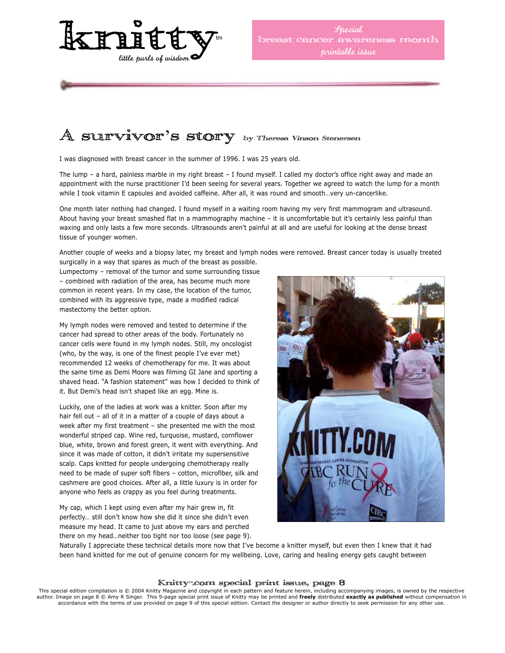

## $A$  survivor's story by Theresa Vinson Stenersen

I was diagnosed with breast cancer in the summer of 1996. I was 25 years old.

The lump – a hard, painless marble in my right breast – I found myself. I called my doctor's office right away and made an appointment with the nurse practitioner I'd been seeing for several years. Together we agreed to watch the lump for a month while I took vitamin E capsules and avoided caffeine. After all, it was round and smooth…very un-cancerlike.

One month later nothing had changed. I found myself in a waiting room having my very first mammogram and ultrasound. About having your breast smashed flat in a mammography machine – it is uncomfortable but it's certainly less painful than waxing and only lasts a few more seconds. Ultrasounds aren't painful at all and are useful for looking at the dense breast tissue of younger women.

Another couple of weeks and a biopsy later, my breast and lymph nodes were removed. Breast cancer today is usually treated surgically in a way that spares as much of the breast as possible.

Lumpectomy – removal of the tumor and some surrounding tissue – combined with radiation of the area, has become much more common in recent years. In my case, the location of the tumor, combined with its aggressive type, made a modified radical mastectomy the better option.

My lymph nodes were removed and tested to determine if the cancer had spread to other areas of the body. Fortunately no cancer cells were found in my lymph nodes. Still, my oncologist (who, by the way, is one of the finest people I've ever met) recommended 12 weeks of chemotherapy for me. It was about the same time as Demi Moore was filming GI Jane and sporting a shaved head. "A fashion statement" was how I decided to think of it. But Demi's head isn't shaped like an egg. Mine is.

Luckily, one of the ladies at work was a knitter. Soon after my hair fell out - all of it in a matter of a couple of days about a week after my first treatment – she presented me with the most wonderful striped cap. Wine red, turquoise, mustard, cornflower blue, white, brown and forest green, it went with everything. And since it was made of cotton, it didn't irritate my supersensitive scalp. Caps knitted for people undergoing chemotherapy really need to be made of super soft fibers – cotton, microfiber, silk and cashmere are good choices. After all, a little luxury is in order for anyone who feels as crappy as you feel during treatments.

My cap, which I kept using even after my hair grew in, fit perfectly… still don't know how she did it since she didn't even measure my head. It came to just above my ears and perched there on my head…neither too tight nor too loose (see page 9).



Naturally I appreciate these technical details more now that I've become a knitter myself, but even then I knew that it had been hand knitted for me out of genuine concern for my wellbeing. Love, caring and healing energy gets caught between

#### Knitty™.com special print issue, page 8